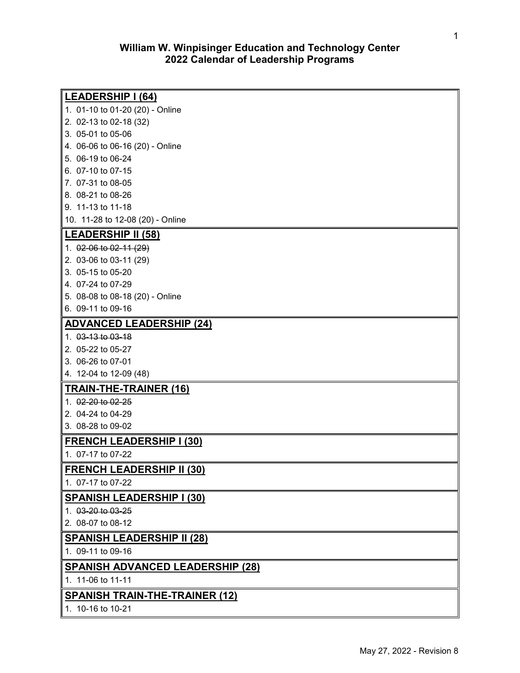# **William W. Winpisinger Education and Technology Center 2022 Calendar of Leadership Programs**

| LEADERSHIP I (64)                       |
|-----------------------------------------|
| 1. 01-10 to 01-20 (20) - Online         |
| 2. 02-13 to 02-18 (32)                  |
| $\parallel$ 3. 05-01 to 05-06           |
| 4. 06-06 to 06-16 (20) - Online         |
| $\parallel$ 5. 06-19 to 06-24           |
| 6. 07-10 to 07-15                       |
| $\vert$ 7. 07-31 to 08-05               |
| 8. 08-21 to 08-26                       |
| 9. 11-13 to 11-18                       |
| ∥ 10. 11-28 to 12-08 (20) - Online      |
| <u>   LEADERSHIP II (58)</u>            |
| 1. 02-06 to 02-11 (29)                  |
| 2. 03-06 to 03-11 (29)                  |
| 3. 05-15 to 05-20                       |
| $\parallel$ 4. 07-24 to 07-29           |
| 5. 08-08 to 08-18 (20) - Online         |
| 6. 09-11 to 09-16                       |
| <b>ADVANCED LEADERSHIP (24)</b>         |
| 1. 03-13 to 03-18                       |
| 2. 05-22 to 05-27                       |
| 3. 06-26 to 07-01                       |
| 4. 12-04 to 12-09 (48)                  |
| <b>TRAIN-THE-TRAINER (16)</b>           |
| 1. 02-20 to 02-25                       |
| 2. 04-24 to 04-29                       |
| 3. 08-28 to 09-02                       |
| <b>FRENCH LEADERSHIP I (30)</b>         |
| 1. 07-17 to 07-22                       |
|                                         |
| <u>FRENCH LEADERSHIP II (30)</u>        |
| 1. 07-17 to 07-22                       |
| <b>SPANISH LEADERSHIP I (30)</b>        |
| 1. 03-20 to 03-25                       |
| 2. 08-07 to 08-12                       |
| <b>SPANISH LEADERSHIP II (28)</b>       |
| 1. 09-11 to 09-16                       |
| <b>SPANISH ADVANCED LEADERSHIP (28)</b> |
| 1. 11-06 to 11-11                       |
| <b>SPANISH TRAIN-THE-TRAINER (12)</b>   |
| 1. 10-16 to 10-21                       |
|                                         |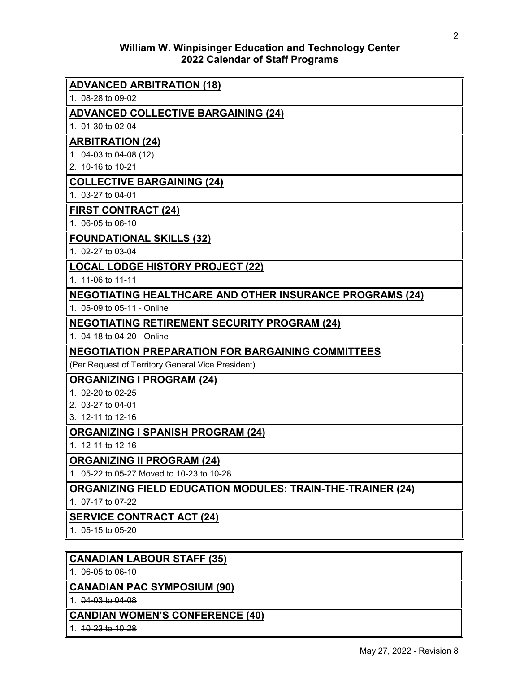# **William W. Winpisinger Education and Technology Center 2022 Calendar of Staff Programs**

| <b>ADVANCED ARBITRATION (18)</b>                                  |
|-------------------------------------------------------------------|
| 1. 08-28 to 09-02                                                 |
| <b>ADVANCED COLLECTIVE BARGAINING (24)</b>                        |
| 1. 01-30 to 02-04                                                 |
| <b>ARBITRATION (24)</b>                                           |
| 1. 04-03 to 04-08 (12)                                            |
| 2. 10-16 to 10-21                                                 |
| <b>COLLECTIVE BARGAINING (24)</b>                                 |
| 1. 03-27 to 04-01                                                 |
| <b>FIRST CONTRACT (24)</b>                                        |
| 1. 06-05 to 06-10                                                 |
| <b>FOUNDATIONAL SKILLS (32)</b>                                   |
| 1. 02-27 to 03-04                                                 |
| <b>LOCAL LODGE HISTORY PROJECT (22)</b>                           |
| 1. 11-06 to 11-11                                                 |
| <b>NEGOTIATING HEALTHCARE AND OTHER INSURANCE PROGRAMS (24)</b>   |
| 1. 05-09 to 05-11 - Online                                        |
| <b>NEGOTIATING RETIREMENT SECURITY PROGRAM (24)</b>               |
| 1. 04-18 to 04-20 - Online                                        |
| <b>NEGOTIATION PREPARATION FOR BARGAINING COMMITTEES</b>          |
| (Per Request of Territory General Vice President)                 |
| <b>ORGANIZING I PROGRAM (24)</b>                                  |
| 1. 02-20 to 02-25                                                 |
| 2. 03-27 to 04-01                                                 |
| 3. 12-11 to 12-16                                                 |
| <b>ORGANIZING I SPANISH PROGRAM (24)</b>                          |
| 1. 12-11 to 12-16                                                 |
| <b>ORGANIZING II PROGRAM (24)</b>                                 |
| 1. 05-22 to 05-27 Moved to 10-23 to 10-28                         |
| <b>ORGANIZING FIELD EDUCATION MODULES: TRAIN-THE-TRAINER (24)</b> |
| 1. 07-17 to 07-22                                                 |
| <b>SERVICE CONTRACT ACT (24)</b>                                  |
| 1. 05-15 to 05-20                                                 |
|                                                                   |
| <b>CANADIAN LABOUR STAFF (35)</b>                                 |

1. 06-05 to 06-10

# **CANADIAN PAC SYMPOSIUM (90)**

1. 04-03 to 04-08

# **CANDIAN WOMEN'S CONFERENCE (40)**

1. 10-23 to 10-28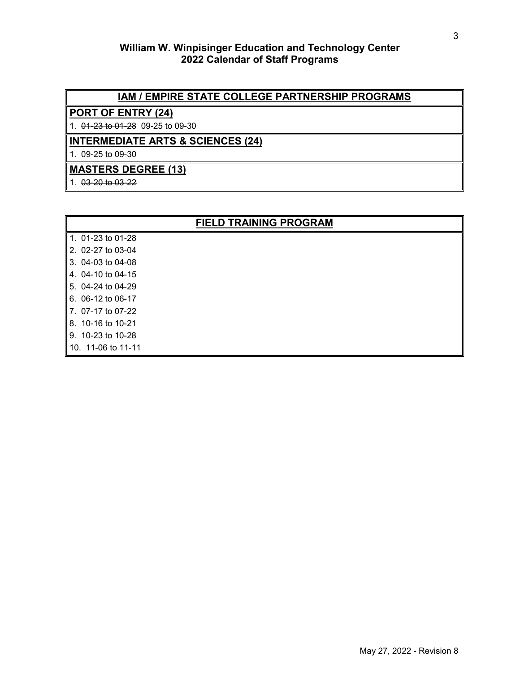# **William W. Winpisinger Education and Technology Center 2022 Calendar of Staff Programs**

# **IAM / EMPIRE STATE COLLEGE PARTNERSHIP PROGRAMS**

# **PORT OF ENTRY (24)**

1. 01-23 to 01-28 09-25 to 09-30

# **INTERMEDIATE ARTS & SCIENCES (24)**

1. 09-25 to 09-30

# **MASTERS DEGREE (13)**

1. 03-20 to 03-22

| <b>FIELD TRAINING PROGRAM</b> |  |  |
|-------------------------------|--|--|
| 1. 01-23 to 01-28             |  |  |
| 2. 02-27 to 03-04             |  |  |
| 3. 04-03 to 04-08             |  |  |
| 4. 04-10 to 04-15             |  |  |
| 5. 04-24 to 04-29             |  |  |
| 6. 06-12 to 06-17             |  |  |
| 7. 07-17 to 07-22             |  |  |
| 8. 10-16 to 10-21             |  |  |
| 9. 10-23 to 10-28             |  |  |
|                               |  |  |

10. 11-06 to 11-11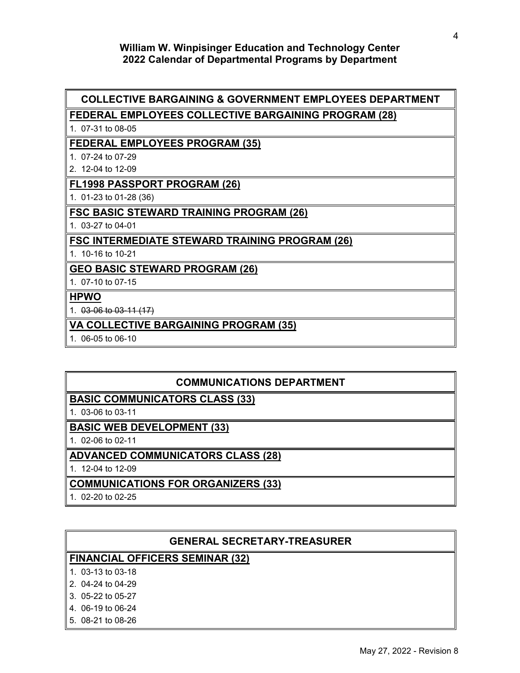### **William W. Winpisinger Education and Technology Center 2022 Calendar of Departmental Programs by Department**

### **COLLECTIVE BARGAINING & GOVERNMENT EMPLOYEES DEPARTMENT**

### **FEDERAL EMPLOYEES COLLECTIVE BARGAINING PROGRAM (28)**

1. 07-31 to 08-05

#### **FEDERAL EMPLOYEES PROGRAM (35)**

- 1. 07-24 to 07-29
- 2. 12-04 to 12-09

#### **FL1998 PASSPORT PROGRAM (26)**

1. 01-23 to 01-28 (36)

#### **FSC BASIC STEWARD TRAINING PROGRAM (26)**

1. 03-27 to 04-01

#### **FSC INTERMEDIATE STEWARD TRAINING PROGRAM (26)**

1. 10-16 to 10-21

#### **GEO BASIC STEWARD PROGRAM (26)**

1. 07-10 to 07-15

#### **HPWO**

1. 03-06 to 03-11 (17)

#### **VA COLLECTIVE BARGAINING PROGRAM (35)**

1. 06-05 to 06-10

# **COMMUNICATIONS DEPARTMENT**

## **BASIC COMMUNICATORS CLASS (33)**

1. 03-06 to 03-11

## **BASIC WEB DEVELOPMENT (33)**

1. 02-06 to 02-11

#### **ADVANCED COMMUNICATORS CLASS (28)**

1. 12-04 to 12-09

#### **COMMUNICATIONS FOR ORGANIZERS (33)**

1. 02-20 to 02-25

#### **GENERAL SECRETARY-TREASURER**

#### **FINANCIAL OFFICERS SEMINAR (32)**

- 1. 03-13 to 03-18
- 2. 04-24 to 04-29
- 3. 05-22 to 05-27
- 4. 06-19 to 06-24
- 5. 08-21 to 08-26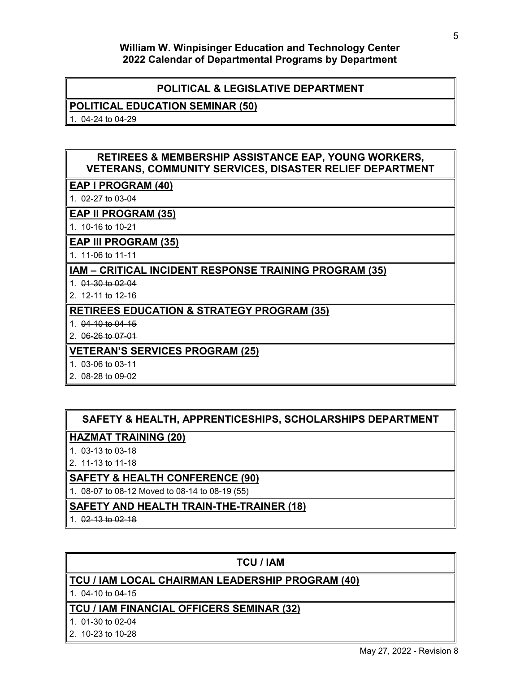## **William W. Winpisinger Education and Technology Center 2022 Calendar of Departmental Programs by Department**

# **POLITICAL & LEGISLATIVE DEPARTMENT**

#### **POLITICAL EDUCATION SEMINAR (50)**

1. 04-24 to 04-29

# **RETIREES & MEMBERSHIP ASSISTANCE EAP, YOUNG WORKERS, VETERANS, COMMUNITY SERVICES, DISASTER RELIEF DEPARTMENT**

# **EAP I PROGRAM (40)**

1. 02-27 to 03-04

### **EAP II PROGRAM (35)**

1. 10-16 to 10-21

### **EAP III PROGRAM (35)**

1. 11-06 to 11-11

# **IAM – CRITICAL INCIDENT RESPONSE TRAINING PROGRAM (35)**

- 1. 01-30 to 02-04
- 2. 12-11 to 12-16

# **RETIREES EDUCATION & STRATEGY PROGRAM (35)**

- 1. 04-10 to 04-15
- 2. 06-26 to 07-01

# **VETERAN'S SERVICES PROGRAM (25)**

- 1. 03-06 to 03-11
- 2. 08-28 to 09-02

# **SAFETY & HEALTH, APPRENTICESHIPS, SCHOLARSHIPS DEPARTMENT**

### **HAZMAT TRAINING (20)**

- 1. 03-13 to 03-18
- 2. 11-13 to 11-18

### **SAFETY & HEALTH CONFERENCE (90)**

1. 08-07 to 08-12 Moved to 08-14 to 08-19 (55)

# **SAFETY AND HEALTH TRAIN-THE-TRAINER (18)**

1. 02-13 to 02-18

# **TCU / IAM**

# **TCU / IAM LOCAL CHAIRMAN LEADERSHIP PROGRAM (40)**

1. 04-10 to 04-15

## **TCU / IAM FINANCIAL OFFICERS SEMINAR (32)**

- 1. 01-30 to 02-04
- 2. 10-23 to 10-28